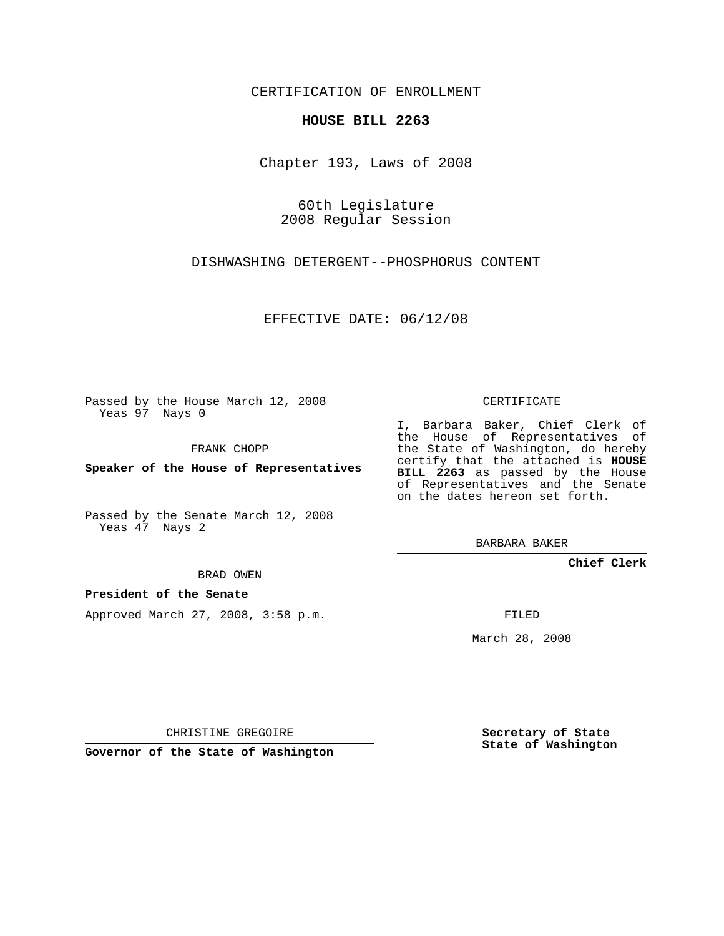CERTIFICATION OF ENROLLMENT

## **HOUSE BILL 2263**

Chapter 193, Laws of 2008

60th Legislature 2008 Regular Session

DISHWASHING DETERGENT--PHOSPHORUS CONTENT

EFFECTIVE DATE: 06/12/08

Passed by the House March 12, 2008 Yeas 97 Nays 0

FRANK CHOPP

**Speaker of the House of Representatives**

Passed by the Senate March 12, 2008 Yeas 47 Nays 2

BRAD OWEN

## **President of the Senate**

Approved March 27, 2008, 3:58 p.m.

CERTIFICATE

I, Barbara Baker, Chief Clerk of the House of Representatives of the State of Washington, do hereby certify that the attached is **HOUSE BILL 2263** as passed by the House of Representatives and the Senate on the dates hereon set forth.

BARBARA BAKER

**Chief Clerk**

FILED

March 28, 2008

CHRISTINE GREGOIRE

**Governor of the State of Washington**

**Secretary of State State of Washington**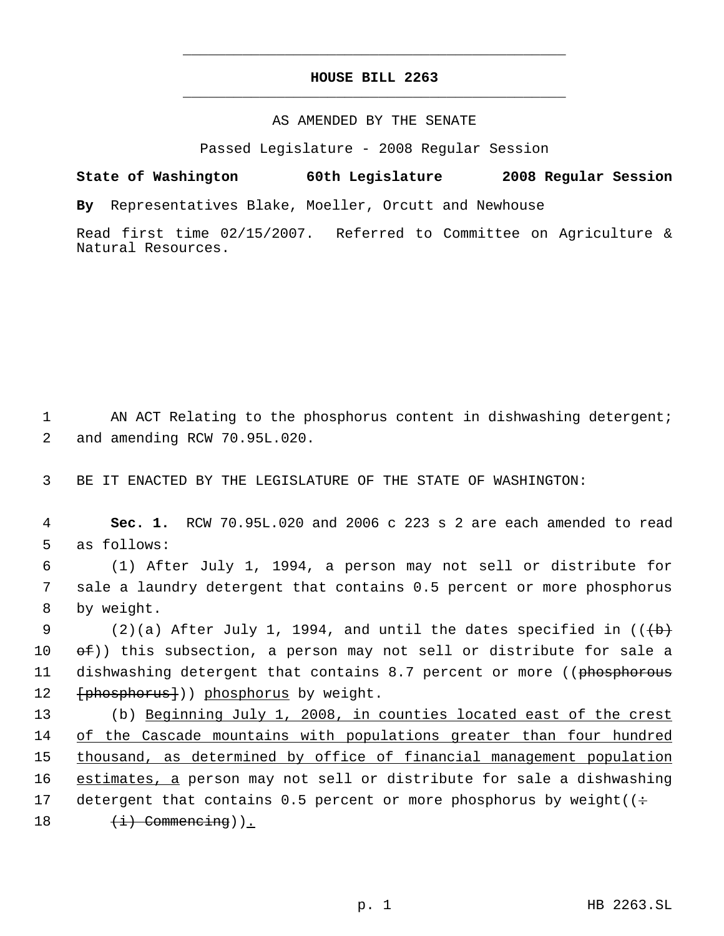## **HOUSE BILL 2263** \_\_\_\_\_\_\_\_\_\_\_\_\_\_\_\_\_\_\_\_\_\_\_\_\_\_\_\_\_\_\_\_\_\_\_\_\_\_\_\_\_\_\_\_\_

\_\_\_\_\_\_\_\_\_\_\_\_\_\_\_\_\_\_\_\_\_\_\_\_\_\_\_\_\_\_\_\_\_\_\_\_\_\_\_\_\_\_\_\_\_

## AS AMENDED BY THE SENATE

Passed Legislature - 2008 Regular Session

**State of Washington 60th Legislature 2008 Regular Session**

**By** Representatives Blake, Moeller, Orcutt and Newhouse

Read first time 02/15/2007. Referred to Committee on Agriculture & Natural Resources.

1 AN ACT Relating to the phosphorus content in dishwashing detergent; 2 and amending RCW 70.95L.020.

3 BE IT ENACTED BY THE LEGISLATURE OF THE STATE OF WASHINGTON:

 4 **Sec. 1.** RCW 70.95L.020 and 2006 c 223 s 2 are each amended to read 5 as follows:

 6 (1) After July 1, 1994, a person may not sell or distribute for 7 sale a laundry detergent that contains 0.5 percent or more phosphorus 8 by weight.

9 (2)(a) After July 1, 1994, and until the dates specified in  $((+b)$ 10  $\Theta$ (ef)) this subsection, a person may not sell or distribute for sale a 11 dishwashing detergent that contains 8.7 percent or more ((phosphorous 12 [phosphorus]) phosphorus by weight.

 (b) Beginning July 1, 2008, in counties located east of the crest of the Cascade mountains with populations greater than four hundred 15 thousand, as determined by office of financial management population estimates, a person may not sell or distribute for sale a dishwashing 17 detergent that contains 0.5 percent or more phosphorus by weight( $($ :  $(i)$  Commencing)).